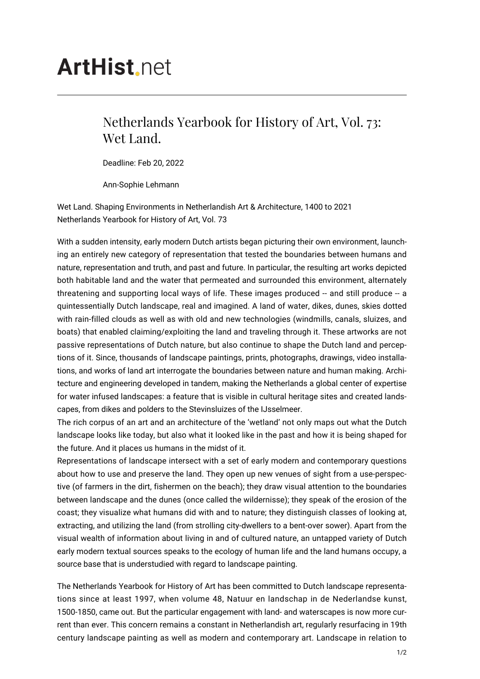## **ArtHist**, net

## Netherlands Yearbook for History of Art, Vol. 73: Wet Land.

Deadline: Feb 20, 2022

Ann-Sophie Lehmann

Wet Land. Shaping Environments in Netherlandish Art & Architecture, 1400 to 2021 Netherlands Yearbook for History of Art, Vol. 73

With a sudden intensity, early modern Dutch artists began picturing their own environment, launching an entirely new category of representation that tested the boundaries between humans and nature, representation and truth, and past and future. In particular, the resulting art works depicted both habitable land and the water that permeated and surrounded this environment, alternately threatening and supporting local ways of life. These images produced -- and still produce -- a quintessentially Dutch landscape, real and imagined. A land of water, dikes, dunes, skies dotted with rain-filled clouds as well as with old and new technologies (windmills, canals, sluizes, and boats) that enabled claiming/exploiting the land and traveling through it. These artworks are not passive representations of Dutch nature, but also continue to shape the Dutch land and perceptions of it. Since, thousands of landscape paintings, prints, photographs, drawings, video installations, and works of land art interrogate the boundaries between nature and human making. Architecture and engineering developed in tandem, making the Netherlands a global center of expertise for water infused landscapes: a feature that is visible in cultural heritage sites and created landscapes, from dikes and polders to the Stevinsluizes of the IJsselmeer.

The rich corpus of an art and an architecture of the 'wetland' not only maps out what the Dutch landscape looks like today, but also what it looked like in the past and how it is being shaped for the future. And it places us humans in the midst of it.

Representations of landscape intersect with a set of early modern and contemporary questions about how to use and preserve the land. They open up new venues of sight from a use-perspective (of farmers in the dirt, fishermen on the beach); they draw visual attention to the boundaries between landscape and the dunes (once called the wildernisse); they speak of the erosion of the coast; they visualize what humans did with and to nature; they distinguish classes of looking at, extracting, and utilizing the land (from strolling city-dwellers to a bent-over sower). Apart from the visual wealth of information about living in and of cultured nature, an untapped variety of Dutch early modern textual sources speaks to the ecology of human life and the land humans occupy, a source base that is understudied with regard to landscape painting.

The Netherlands Yearbook for History of Art has been committed to Dutch landscape representations since at least 1997, when volume 48, Natuur en landschap in de Nederlandse kunst, 1500-1850, came out. But the particular engagement with land- and waterscapes is now more current than ever. This concern remains a constant in Netherlandish art, regularly resurfacing in 19th century landscape painting as well as modern and contemporary art. Landscape in relation to